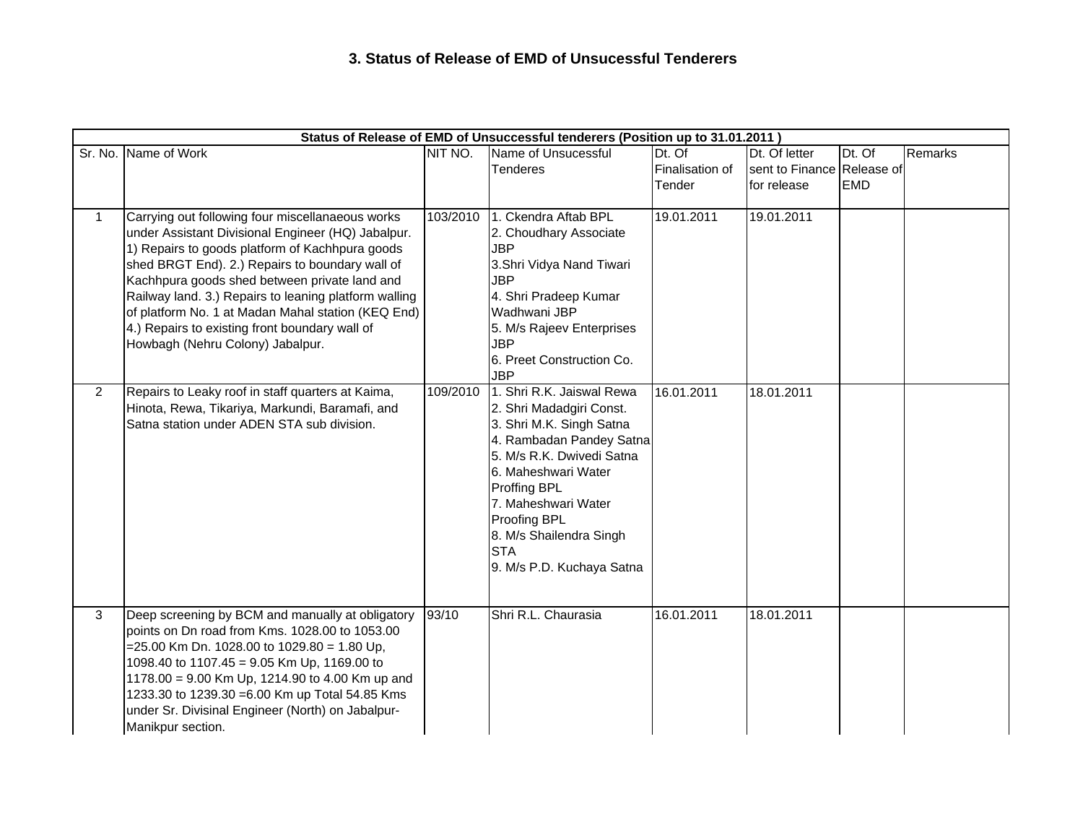## **3. Status of Release of EMD of Unsucessful Tenderers**

| Status of Release of EMD of Unsuccessful tenderers (Position up to 31.01.2011) |                                                                                                                                                                                                                                                                                                                                                                                                                                                                    |          |                                                                                                                                                                                                                                                                                                |                                     |                                                            |                      |         |  |  |  |
|--------------------------------------------------------------------------------|--------------------------------------------------------------------------------------------------------------------------------------------------------------------------------------------------------------------------------------------------------------------------------------------------------------------------------------------------------------------------------------------------------------------------------------------------------------------|----------|------------------------------------------------------------------------------------------------------------------------------------------------------------------------------------------------------------------------------------------------------------------------------------------------|-------------------------------------|------------------------------------------------------------|----------------------|---------|--|--|--|
|                                                                                | Sr. No. Name of Work                                                                                                                                                                                                                                                                                                                                                                                                                                               | NIT NO.  | Name of Unsucessful<br><b>Tenderes</b>                                                                                                                                                                                                                                                         | Dt. Of<br>Finalisation of<br>Tender | Dt. Of letter<br>sent to Finance Release of<br>for release | Dt. Of<br><b>EMD</b> | Remarks |  |  |  |
| $\mathbf{1}$                                                                   | Carrying out following four miscellanaeous works<br>under Assistant Divisional Engineer (HQ) Jabalpur.<br>1) Repairs to goods platform of Kachhpura goods<br>shed BRGT End). 2.) Repairs to boundary wall of<br>Kachhpura goods shed between private land and<br>Railway land. 3.) Repairs to leaning platform walling<br>of platform No. 1 at Madan Mahal station (KEQ End)<br>4.) Repairs to existing front boundary wall of<br>Howbagh (Nehru Colony) Jabalpur. | 103/2010 | 1. Ckendra Aftab BPL<br>2. Choudhary Associate<br><b>JBP</b><br>3.Shri Vidya Nand Tiwari<br><b>JBP</b><br>4. Shri Pradeep Kumar<br>Wadhwani JBP<br>5. M/s Rajeev Enterprises<br><b>JBP</b><br>6. Preet Construction Co.<br><b>JBP</b>                                                          | 19.01.2011                          | 19.01.2011                                                 |                      |         |  |  |  |
| $\overline{2}$                                                                 | Repairs to Leaky roof in staff quarters at Kaima,<br>Hinota, Rewa, Tikariya, Markundi, Baramafi, and<br>Satna station under ADEN STA sub division.                                                                                                                                                                                                                                                                                                                 | 109/2010 | 1. Shri R.K. Jaiswal Rewa<br>2. Shri Madadgiri Const.<br>3. Shri M.K. Singh Satna<br>4. Rambadan Pandey Satna<br>5. M/s R.K. Dwivedi Satna<br>6. Maheshwari Water<br>Proffing BPL<br>7. Maheshwari Water<br>Proofing BPL<br>8. M/s Shailendra Singh<br><b>STA</b><br>9. M/s P.D. Kuchaya Satna | 16.01.2011                          | 18.01.2011                                                 |                      |         |  |  |  |
| 3                                                                              | Deep screening by BCM and manually at obligatory<br>points on Dn road from Kms. 1028.00 to 1053.00<br>$=$ 25.00 Km Dn. 1028.00 to 1029.80 = 1.80 Up,<br>1098.40 to 1107.45 = 9.05 Km Up, 1169.00 to<br>1178.00 = 9.00 Km Up, 1214.90 to 4.00 Km up and<br>1233.30 to 1239.30 = 6.00 Km up Total 54.85 Kms<br>under Sr. Divisinal Engineer (North) on Jabalpur-<br>Manikpur section.                                                                                | 93/10    | Shri R.L. Chaurasia                                                                                                                                                                                                                                                                            | 16.01.2011                          | 18.01.2011                                                 |                      |         |  |  |  |